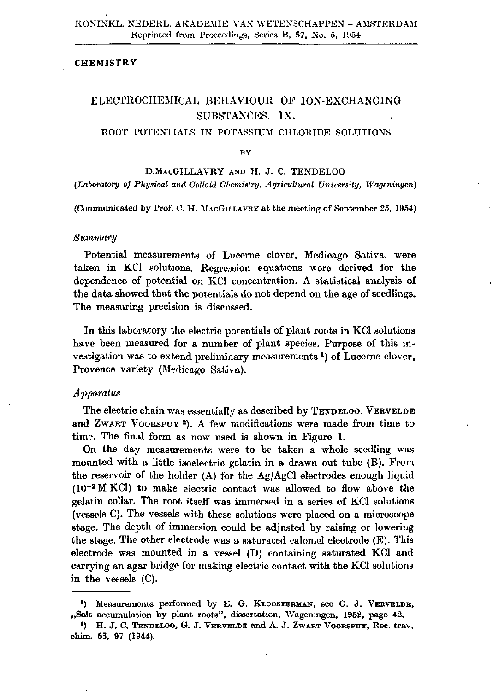### **CHEMISTRY**

# ELECTROCHEMICAL BEHAVIOUR OF ION-EXCHANGING SUBSTANCES. IX.

### ROOT POTENTIALS IN POTASSIUM CHLORIDE SOLUTIONS

**BY** 

D.MACGILLAVRY AND H. J. C. TENDELOO *(Laboratory of Physical and Colloid Chemistry, Agricultural University, Wageningen)* 

(Communicated by Prof. C. H. MACGILLAVRY at the meeting of September 25, 1954)

#### *Summary*

Potential measurements of Lucerne clover, Medicago Sativa, were taken in KCl solutions. Regression equations were derived for the dependence of potential on KCl concentration. A statistical analysis of the data showed that the potentials do not depend on the age of seedlings. The measuring precision is discussed.

In this laboratory the electric potentials of plant roots in KCl solutions have been measured for a number of plant species. Purpose of this investigation was to extend preliminary measurements<sup>1</sup>) of Lucerne cl Provence variety (Medicago Sativa).

### *Apparatus*

The electric chain was essentially as described by TENDELOO, VERVELDE and ZWART VOORSPUY<sup>2</sup>). A few modifications were made from ti time. The final form as now used is shown in Figure 1.

On the day measurements were to be taken a whole seedling was mounted with a little isoelectric gelatin in a drawn out tube (B). From the reservoir of the holder (A) for the Ag/AgCl electrodes enough liquid  $(10^{-2}$  MKCl) to make electric contact was allowed to flow above the gelatin collar. The root itself was immersed in a series of KCl solutions (vessels C). The vessels with these solutions were placed on a microscope stage. The depth of immersion could be adjusted by raising or lowering the stage. The other electrode was a saturated calomel electrode (E). This electrode was mounted in a vessel (D) containing saturated KCl and carrying an agar bridge for making electric contact with the KCl solutions in the vessels (C).

<sup>&</sup>lt;sup>1</sup>) Measurements performed by E. G. KLOOSTERMAN, see G. J. VERVI "Salt accumulation by plant roots", dissertation, Wageningen, 1952, page 42.

<sup>\*)</sup> H. J. C. TENDELOO, G. J. VERVELDE and A. **J.** ZWART VOORSFUY, Rec. trav. chim. **63,** 97 **(1944).**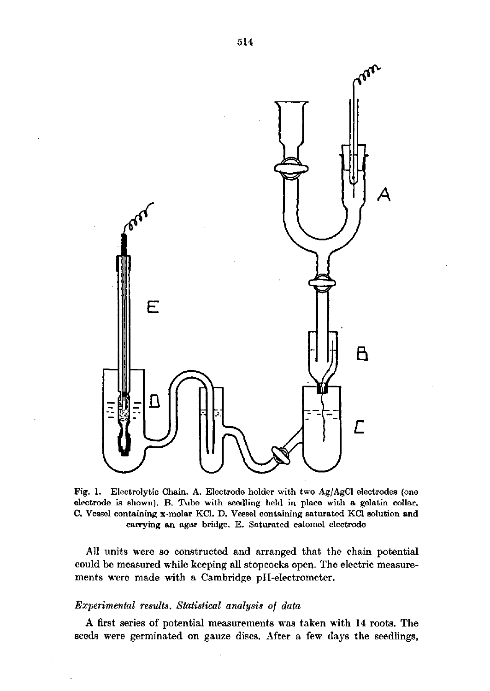

Fig. 1. Electrolytic Chain. A. Electrode holder with two Ag/AgCl electrodes (one electrode is shown). B. Tube with seedling held in place with a gelatin collar. C. Vessel containing x-molar KCl. D. Vessel containing saturated KCl solution and carrying an agar bridge. E. Saturated calomel electrode

All units were so constructed and arranged that the chain potential could be measured while keeping all stopcocks open. The electric measurements were made with a Cambridge pH-electrometer.

## *Experimental results. Statistical analysis of data*

A first series of potential measurements was taken with 14 roots. The seeds were germinated on gauze discs. After a few days the seedlings,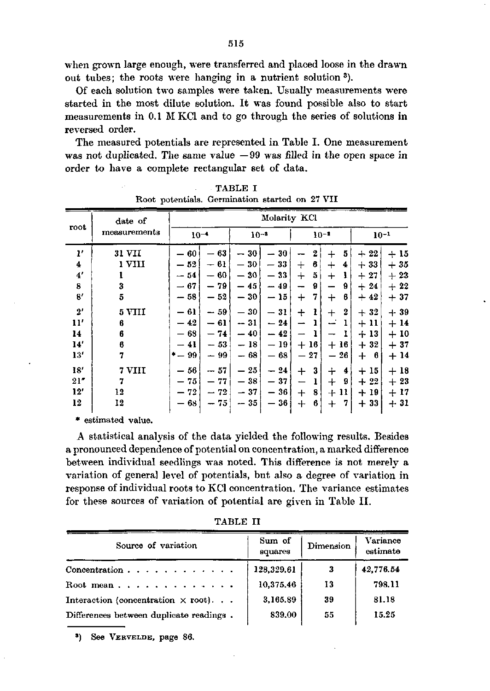when grown large enough, were transferred and placed loose in the drawn out tubes; the roots were hanging in a nutrient solution

Of each solution two samples were taken. Usually measurements were started in the most dilute solution. It was found possible also to start measurements in 0.1 M KCl and to go through the series of solutions in reversed order.

The measured potentials are represented in Table I. One measurement was not duplicated. The same value  $-99$  was filled in the open space in order to have a complete rectangular set of data.

| root         | date of      | Molarity KCl                   |                                |                                |                                        |                               |                                |                |       |
|--------------|--------------|--------------------------------|--------------------------------|--------------------------------|----------------------------------------|-------------------------------|--------------------------------|----------------|-------|
|              | measurements | $10^{-4}$                      |                                | $10^{-3}$                      |                                        |                               | $10 - 1$                       | $10 - 1$       |       |
| $\mathbf{r}$ | 31 VII       | 60                             | 63<br>$\overline{\phantom{0}}$ | 30                             | 30                                     | 2                             | 5<br>$\pm$                     | 22<br>$\div$   | $+15$ |
| 4            | ı vın        | $-52$                          | — 61                           | 30<br>$\overline{\phantom{0}}$ | 33<br>$\overbrace{\phantom{12322111}}$ | 6<br>$\div$                   | $\div$<br>4                    | 33<br>$\pm$    | $+35$ |
| 4'           |              | $-54$                          | - 60                           | $-30$                          | $-33$                                  | 5<br>$\div$                   | $\div$                         | 27<br>$+$      | $+23$ |
| 8            | 3            | — 67                           | $-79$                          | $-45$                          | $-49$                                  | 9<br>$\overline{\phantom{a}}$ | 9<br>--                        | 24<br>$+$      | $+22$ |
| 8'           | 5            | $-58$                          | 52                             | 30                             | - 15                                   | 7<br>┿                        | 6<br>$\div$                    | $+42$          | $+37$ |
| 2'           | 5 VIII       | $-61$                          | $-59$                          | 30<br>$\overline{\phantom{0}}$ | $-31$                                  | 1<br>$\div$                   | 2<br>$\boldsymbol{+}$          | 32<br>$+$      | $+39$ |
| 11'          | 6            | $-42$                          | $-61$                          | $-31$                          | $-24$                                  |                               |                                | $+11$          | $+14$ |
| 14           | 6            | $-68$                          | $-74$                          | $-40$                          | $-42$                                  |                               |                                | $+13$          | $+10$ |
| 14           | 6            | 41                             | $-53$                          | $-18$                          | — 19                                   | 16<br>$^{+}$                  | 16<br>$\pm$                    | 32<br>$+$      | $+37$ |
| 13'          | 7            | $-99$                          | - 99                           | $-68$                          | — 68                                   | 27                            | 26<br>$\overline{\phantom{0}}$ | $+$<br>-6      | $+14$ |
| 18'          | 7 VIII       | 56<br>$\overline{\phantom{0}}$ | $-57$                          | 25<br>$\overline{\phantom{0}}$ | $-24$                                  | 3<br>$\bm{+}$                 | $\div$<br>4                    | 15<br>$\pm$    | $+18$ |
| 21"          | 7            | 75                             | 77                             | 38                             | — 37                                   | ı                             | $^{+}$<br>9                    | $^{22}$<br>$+$ | $+23$ |
| 12'          | 12           | $-72$                          | 72<br>Ĩ,                       | $-37$                          | 36<br>$\overline{\phantom{0}}$         | 8<br>$+$                      | 11<br>┿                        | 19<br>$\div$   | $+17$ |
| 12           | 12           | 63                             | 75                             | $-35$                          | 36                                     | $+$<br>6                      | $\, +$<br>7                    | 33<br>$+$      | $+31$ |

TABLE I Root potentials. Germination started on 27 VII

\* estimated value.

A statistical analysis of the data yielded the following results. Besides a pronounced dependence of potential on concentration, a marked difference between individual seedlings was noted. This difference is not merely a variation of general level of potentials, but also a degree of variation in response of individual roots to KCl concentration. The variance estimates for these sources of variation of potential are given in Table II.

TABLE II

| Source of variation                       | Sum of<br>squares | Dimension | Variance<br>estimate |
|-------------------------------------------|-------------------|-----------|----------------------|
| Concentration $\cdots$ $\cdots$ $\cdots$  | 128,329.61        | 3         | 42,776.54            |
| Root mean                                 | 10,375,46         | 13        | 798.11               |
| Interaction (concentration $\times$ root) | 3,165.89          | 39        | 81.18                |
| Differences between duplicate readings.   | 839.00            | 55        | 15.25                |

\*) See VERVELDE, page 86.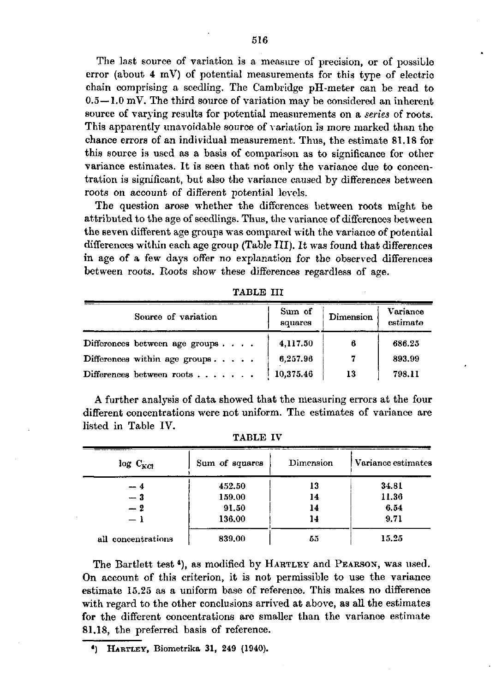The last source of variation is a measure of precision, or of possible error (about 4 mV) of potential measurements for this type of electric chain comprising a seedling. The Cambridge pH-meter can be read to 0.5—1.0 mV. The third source of variation may be considered an inherent source of varying results for potential measurements on a *series* of roots. This apparently unavoidable source of variation is more marked than the chance errors of an individual measurement. Thus, the estimate 81.18 for this source is used as a basis of comparison as to significance for other variance estimates. It is seen that not only the variance due to concentration is significant, but also the variance caused by differences between roots on account of different potential levels.

The question arose whether the differences between roots might be attributed to the age of seedlings. Thus, the variance of differences between the seven different age groups was compared with the variance of potential differences within each age group (Table III). It was found that differences in age of a few days offer no explanation for the observed differences between roots. Roots show these differences regardless of age.

| Source of variation                       | Sum of<br>squares | Dimension | Variance<br>estimate |
|-------------------------------------------|-------------------|-----------|----------------------|
| Differences between age groups            | 4.117.50          | 6         | 686.25               |
| Differences within age groups. $\ldots$ . | 6,257.96          | 7         | 893.99               |
| Differences between roots $\ldots$        | 10.375.46         | 13        | 798.11               |

TABLE III

A further analysis of data showed that the measuring errors at the four different concentrations were not uniform. The estimates of variance are listed in Table IV.

| $log C_{KG}$       | Sum of squares | Dimension | Variance estimates |
|--------------------|----------------|-----------|--------------------|
| -- 4               | 452.50         | 13        | 34.81              |
| $-3$               | 159.00         | 14        | 11.36              |
| $-2$               | 91.50          | 14        | 6.54               |
| - 1                | 136.00         | 14        | 9.71               |
| all concentrations | 839,00         | 55        | 15.25              |

TABLE IV

The Bartlett test<sup>4</sup>), as modified by HARTLEY and PEARSON, was On account of this criterion, it is not permissible to use the variance estimate 15.25 as a uniform base of reference. This makes no difference with regard to the other conclusions arrived at above, as all the estimates for the different concentrations are smaller than the variance estimate 81.18, the preferred basis of reference.

*\*)* HARTLEY, Biometrika 31, 249 (1940).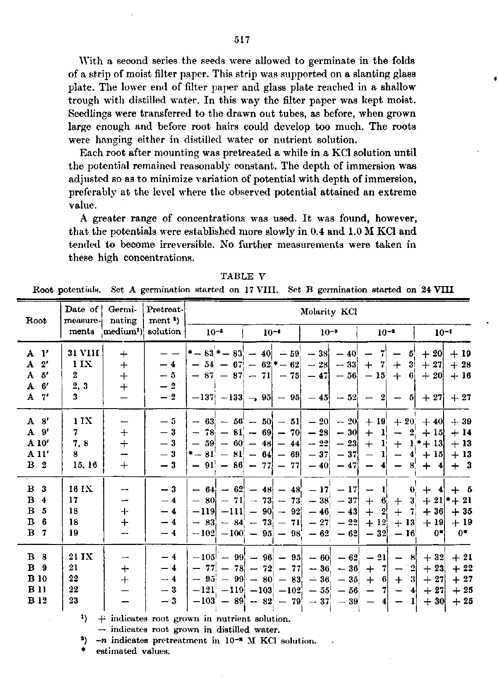With a second series the seeds were allowed to germinate in the folds of a strip of moist filter paper. This strip was supported on a slanting glass plate. The lower end of filter paper and glass plate reached in a shallow trough with distilled water. In this way the filter paper was kept moist. Seedlings were transferred to the drawn out tubes, as before, when grown large enough and before root hairs could develop too much. The roots were hanging either in distilled water or nutrient solution.

Each root after mounting was pretreated a while in a KCl solution until the potential remained reasonably constant. The depth of immersion was adjusted so as to minimize variation of potential with depth of immersion, preferably at the level where the observed potential attained an extreme value.

A greater range of concentrations was used. It was found, however, that the potentials were established more slowly in 0.4 and 1.0 M KCl and tended to become irreversible. No further measurements were taken in these high concentrations.

TABLE V Root potentials. Set A germination started on 17 VIII. Set B germination started on 24 VIII

| Root                                                                      | Date of<br>measure-<br>ments                                 | Germi-<br>nating<br>medium <sup>1</sup>            | Pretreat-<br>ment <sup>2</sup> )<br>solution | $10^{-5}$ | $10 - 4$                                                                                           | Molarity KCl<br>$10^{-3}$                                                                                                                                                                  | $10 - 1$                                                                                                                                                     | $10^{-1}$                                                                                  |
|---------------------------------------------------------------------------|--------------------------------------------------------------|----------------------------------------------------|----------------------------------------------|-----------|----------------------------------------------------------------------------------------------------|--------------------------------------------------------------------------------------------------------------------------------------------------------------------------------------------|--------------------------------------------------------------------------------------------------------------------------------------------------------------|--------------------------------------------------------------------------------------------|
| $A$ $1'$<br>A <sub>2</sub> '<br>A 5'<br>$A \t6'$<br>$A$ $7'$              | <b>31 VIII</b><br>11X<br>$2^{\circ}$<br>2, 3<br>$\mathbf{3}$ | $+$<br>$+$<br>$+$<br>$\ddot{+}$                    | $-4$<br>$-5$<br>$-2$<br>$-9$                 |           | * - $83$ * - $83' - 40' - 59'$<br>$-54$ $-67$ $-62$ $-62$                                          | $-28$ - 33<br>$-87$ $-87$ $-71$ $-75$ $-47$ $-56$ $-15$ $+6$<br>$-137$ $-133$ $-95$ $-95$ $-45$ $-52$ $-2$ $-5$                                                                            | $-38$ $-40$ $-7$ $-5$<br>$+ 7$<br>$+$<br>3 <sup>1</sup>                                                                                                      | $+20$<br>$+19$<br>$+ 27$<br>$+28$<br>$+20$<br>$+16$<br>$+27$<br>$+27$                      |
| A <sub>8</sub><br>A 9'<br>A 10'<br>A <sub>11'</sub><br>B <sub>2</sub>     | 11X<br>7.<br>7, 8<br>8<br>15, 16                             | $\overline{\phantom{0}}$<br>$+$<br>$+$<br>$+$      | — 5<br>$-3$<br>$-3$<br>$-3$<br>$-3$          |           | $-78$ $-81$ $-69$ $-70$<br>$-59$ $-60$ $-48$ $-44$<br>$-81 - 81 - 64 - 69$<br>$-91 - 86 - 77 = 77$ | $- 63$ $- 56$ $- 50$ $- 51$ $- 20$ $- 20$ $+ 19$ $+ 20$ $+ 40$<br>$-30$<br>$-28$<br>$-23$<br>$-22$<br>$-37$ $-37$<br>$-40$ - 47                                                            | $+$ 1<br>$\overline{\phantom{m}}$<br>$+$<br>-11<br>$\mathbf{1}^{\dagger}$<br>4 <sup>1</sup><br>$\rightarrow$<br>$\qquad \qquad \blacksquare$<br>$4 -$<br>-8. | $+39$<br>$2 + 15$<br>$+14$<br>$+ 1$ * + 13<br>$+13$<br>$+15$<br>$+13$<br>$+$ 3<br>$+$<br>4 |
| B <sub>3</sub><br>B <sub>4</sub><br>B <sub>5</sub><br>$B_6$<br><b>B</b> 7 | 16 IX<br>17<br>18<br>18<br>19                                | $\overline{\phantom{a}}$<br>--<br>$\ddot{}$<br>$+$ | $-3$<br>$-4$<br>$-4$<br>$-4$<br>$-4$         | $-119$    | $-83$ $-84$ $-73$ $-71$ $-27$                                                                      | $- 64$ $- 62$ $- 48$ $- 48$ $- 17$ $- 17$ $- 1$<br>$-80$ $-71$ $-73$ $-73$ $-38$ $-37$<br>$ -111  - 90  - 92  - 46  - 43 $<br>$-22$<br>$[-102] -100] - 95 = -98$ $- 62 = -62$ $- 32 = -16$ | $\mathbf{I}$<br>$\bullet$<br>$+ 6 + 3$<br>7 <sup>1</sup><br>$+$<br>$+$ 2<br>$+12$<br>$+ 13$                                                                  | $+ 4 + 5$<br>$+ 21$ * + 21<br>$+36$<br>$+35$<br>$+ 19$<br>$+19$<br>$0^*$<br>0*l            |
| $B_8$<br>B <sub>9</sub><br><b>B</b> 10<br>B <sub>11</sub><br><b>B</b> 12  | 21 IX<br>21<br>22<br>22<br>23                                | $\overline{\phantom{a}}$<br>$+$<br>$^{+}$          | $-4$<br>$-4$<br>$-4$<br>$-3$<br>$-3$         |           | $-77$ $-78$ $-72$ $-77$<br>$-95$ - 99 - 80 - 83<br>$[-121] -119] -103] -102' -55$                  | $-105$ - 99 - 96 - 95 - 60 - 62 - 21 - 8<br>$-36 - 36$<br>$-36 - 35$<br>$-56 -$<br>$[-103] - 89] - 82$ - $79' - 37$ - $39' - 4$ -                                                          | $\mathbf{2}$<br>$+ 7 -$<br> 3 <br>6<br>$+$<br>$+$<br>-71<br>$\blacktriangleleft$<br>$\overline{\phantom{a}}$<br>- 11                                         | $+32$<br>$+21$<br>$+ 23$<br>$+22$<br>$+27$<br>$+ 27$<br>$+ 27$<br>$+25$<br>$+30$<br>$+25$  |

 $\begin{array}{c|c|c|c|c|c|c|c|c} \hline \end{array}$  + indicates root grown in nutrient solution.

 $\rightarrow$  indicates root grown in distilled water.

\*)  $-n$  indicates pretreatment in  $10^{-n}$  M KCl solution.

estimated values.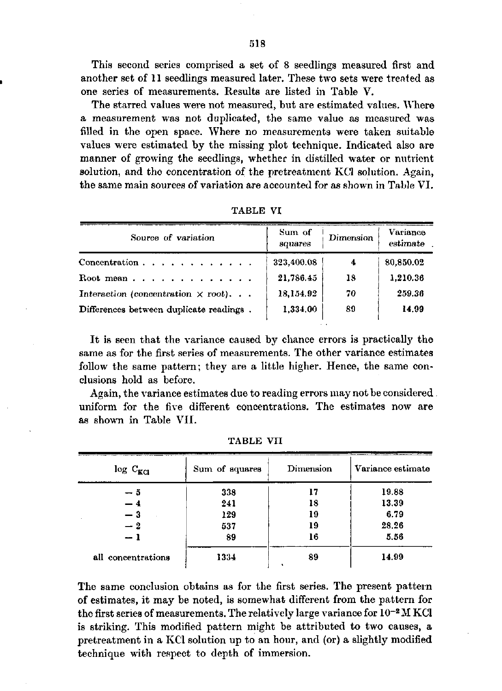This second series comprised a set of 8 seedlings measured first and another set of 11 seedlings measured later. These two sets were treated as one series of measurements. Results are listed in Table V.

The starred values were not measured, but are estimated values. Where a measurement was not duplicated, the same value as measured was filled in the open space. Where no measurements were taken suitable values were estimated by the missing plot technique. Indicated also are manner of growing the seedlings, whether in distilled water or nutrient solution, and the concentration of the pretreatment KCl solution. Again, the same main sources of variation are accounted for as shown in Table VI.

| Source of variation                       | Sum of<br>squares | Dimension | Variance<br>estimate |
|-------------------------------------------|-------------------|-----------|----------------------|
| Concentration $\cdots$ $\cdots$ $\cdots$  | 323,400.08        | 4         | 80,850.02            |
| Root mean                                 | 21,786.45         | 18        | 1,210.36             |
| Interaction (concentration $\times$ root) | 18,154.92         | 70        | 259.36               |
| Differences between duplicate readings.   | 1,334.00          | 89        | 14.99                |

TABLE VI

It is seen that the variance caused by chance errors is practically the same as for the first series of measurements. The other variance estimates follow the same pattern; they are a little higher. Hence, the same conclusions hold as before.

Again, the variance estimates due to reading errors may not be considered. uniform for the five different concentrations. The estimates now are as shown in Table VII.

| $log C_{KCl}$      | Sum of squares | Dimension | Variance estimate |  |
|--------------------|----------------|-----------|-------------------|--|
| — 5                | 338            | 17        | 19.88             |  |
| $-4$               | 241            | 18        | 13.39             |  |
| $-3$               | 129            | 19        | 6.79              |  |
| $-2$               | 537            | 19        | 28.26             |  |
| $-1$               | 89             | 16        | 5.56              |  |
| all concentrations | 1334           | 89        | 14.99             |  |

TABLE VII

The same conclusion obtains as for the first series. The present pattern of estimates, it may be noted, is somewhat different from the pattern for the first series of measurements. The relatively large variance for  $10^{-2}$ is striking. This modified pattern might be attributed to two causes, a pretreatment in a KCl solution up to an hour, and (or) a slightly modified technique with respect to depth of immersion.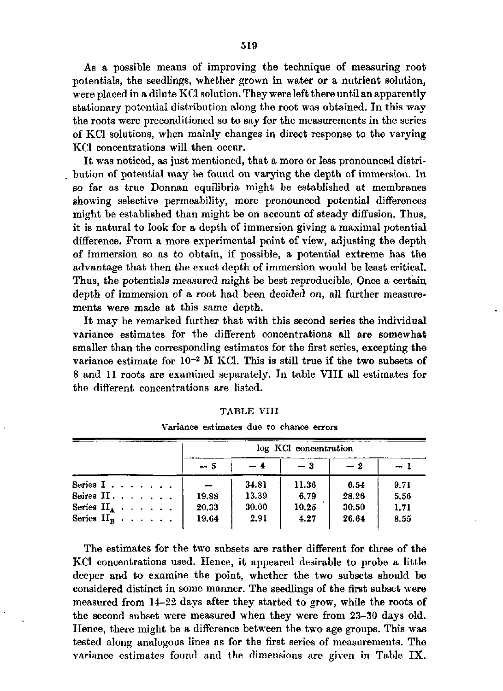As a possible means of improving the technique of measuring root potentials, the seedlings, whether grown in water or a nutrient solution, were placed in a dilute KCl solution. They were left there until an apparently stationary potential distribution along the root was obtained. In this way the roots were preconditioned so to say for the measurements in the series of KCl solutions, when mainly changes in direct response to the varying KCl concentrations will then occur.

It was noticed, as just mentioned, that a more or less pronounced distribution of potential may be found on varying the depth of immersion. In so far as true Donnan equilibria might be established at membranes showing selective permeability, more pronounced potential differences might be established than might be on account of steady diffusion. Thus, it is natural to look for a depth of immersion giving a maximal potential difference. From a more experimental point of view, adjusting the depth of immersion so as to obtain, if possible, a potential extreme has the advantage that then the exact depth of immersion would be least critical. Thus, the potentials measured might be best reproducible. Once a certain depth of immersion of a root had been decided on, all further measurements were made at this same depth.

It may be remarked further that with this second series the individual variance estimates for the different concentrations all are somewhat smaller than the corresponding estimates for the first series, excepting the variance estimate for  $10^{-2}$  M KCl. This is still true if the two subsets 8 and 11 roots are examined separately. In table VIII all estimates for the different concentrations are listed.

|                                          |  |  |  | log KCl concentration |       |       |       |      |  |  |
|------------------------------------------|--|--|--|-----------------------|-------|-------|-------|------|--|--|
|                                          |  |  |  | $-5$                  | $-4$  | $-3$  | $-2$  |      |  |  |
| Series $I \cdot \cdot \cdot \cdot \cdot$ |  |  |  |                       | 34.81 | 11.36 | 6.54  | 9.71 |  |  |
| Seires $II \ldots \ldots$                |  |  |  | 19.88                 | 13.39 | 6.79  | 28.26 | 5.56 |  |  |
| Series $II_A$                            |  |  |  | 20.33                 | 30.00 | 10.25 | 30.50 | 1.71 |  |  |
| Series $H_{\mathbf{p}}$                  |  |  |  | 19.64                 | 2.91  | 4.27  | 26.64 | 8.55 |  |  |

TABLE VIII

Variance estimates due to chance errors

The estimates for the two subsets are rather different for three of the KCl concentrations used. Hence, it appeared desirable to probe a little deeper and to examine the point, whether the two subsets should be considered distinct in some manner. The seedlings of the first subset were measured from 14-22 days after they started to grow, while the roots of the second subset were measured when they were from 23-30 days old. Hence, there might be a difference between the two age groups. This was tested along analogous lines as for the first series of measurements. The variance estimates found and the dimensions are given in Table IX.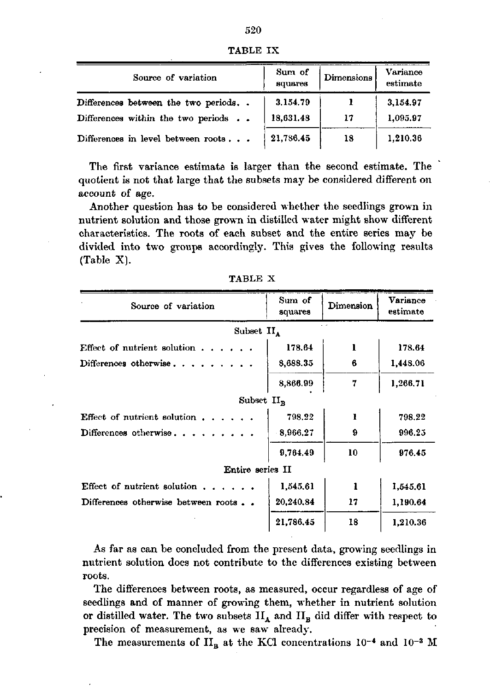|  | I |
|--|---|
|  |   |

| TABLE IX |  |
|----------|--|
|----------|--|

| Source of variation                 | Sum of<br>squares | <b>Dimensions</b> | Variance<br>estimate |
|-------------------------------------|-------------------|-------------------|----------------------|
| Differences between the two periods | 3.154.79          |                   | 3,154.97             |
| Differences within the two periods  | 18,631.48         | 17                | 1,095.97             |
| Differences in level between roots  | 21,786.45         | 18                | 1.210.36             |

The first variance estimate is larger than the second estimate. The quotient is not that large that the subsets may be considered different on account of age.

Another question has to be considered whether the seedlings grown in nutrient solution and those grown in distilled water might show different characteristics. The roots of each subset and the entire series may be divided into two groups accordingly. This gives the following results (Table X).

| Source of variation                  | Sum of<br>squares | Dimension | Variance<br>estimate |  |  |  |  |  |
|--------------------------------------|-------------------|-----------|----------------------|--|--|--|--|--|
| Subset $II_A$                        |                   |           |                      |  |  |  |  |  |
| Effect of nutrient solution $\ldots$ | 178.64            | 1         | 178.64               |  |  |  |  |  |
| Differences otherwise                | 8,688.35          | 6         | 1,448.06             |  |  |  |  |  |
|                                      | 8,866.99          | 7         | 1,266.71             |  |  |  |  |  |
| Subset $II_R$                        |                   |           |                      |  |  |  |  |  |
| Effect of nutrient solution $\ldots$ | 798.22            | 1         | 798.22               |  |  |  |  |  |
| Differences otherwise                | 8,966.27          | 9         | 996.25               |  |  |  |  |  |
|                                      | 9,764.49          | 10        | 976.45               |  |  |  |  |  |
| Entire series II                     |                   |           |                      |  |  |  |  |  |
| Effect of nutrient solution          | 1,545.61          | 1         | 1,545.61             |  |  |  |  |  |
| Differences otherwise between roots  | 20,240,84         | 17        | 1,190.64             |  |  |  |  |  |
|                                      | 21,786,45         | 18        | 1,210.36             |  |  |  |  |  |

TABLE X

As far as can be concluded from the present data, growing seedlings in nutrient solution does not contribute to the differences existing between roots.

The differences between roots, as measured, occur regardless of age of seedlings and of manner of growing them, whether in nutrient solution or distilled water. The two subsets  $II_A$  and  $II_B$  did differ with respect to precision of measurement, as we saw already.

The measurements of  $II_B$  at the KCl concentrations  $10^{-4}$  and 1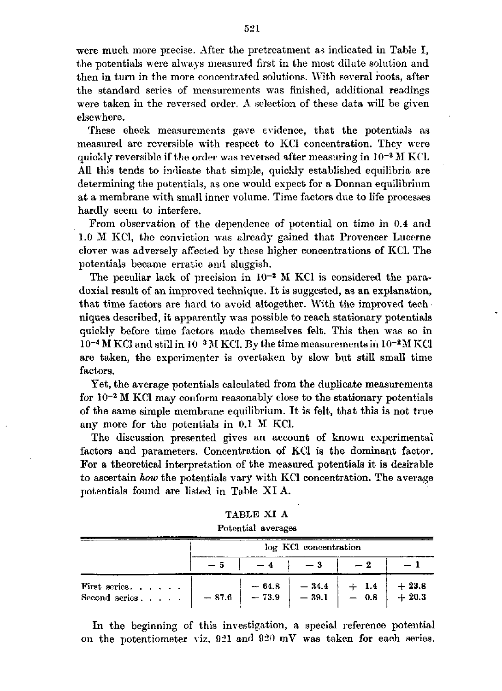were much more precise. After the pretreatment as indicated in Table I, the potentials were always measured first in the most dilute solution and then in turn in the more concentrated solutions. With several roots, after the standard series of measurements was finished, additional readings were taken in the reversed order. A selection of these data will be given elsewhere.

These check measurements gave evidence, that the potentials as measured are reversible with respect to KCl concentration. They were quickly reversible if the order was reversed after measuring in  $10^{-2}$   $\overline{\phantom{a}}$ All this tends to indicate that simple, quickly established equilibria are determining the potentials, as one would expect for a Donnan equilibrium at a membrane with small inner volume. Time factors due to life processes hardly seem to interfere.

From observation of the dependence of potential on time in 0.4 and 1.0 M KCl, the conviction was already gained that Provencer Lucerne clover was adversely affected by these higher concentrations of KCl. The potentials became erratic and sluggish.

The peculiar lack of precision in  $10^{-2}$  M KCl is considered the doxial result of an improved technique. It is suggested, as an explanation, that time factors are hard to avoid altogether. With the improved tech niques described, it apparently was possible to reach stationary potentials quickly before time factors made themselves felt. This then was so in  $10^{-4}$  M KCl and still in  $10^{-3}$  M KCl. By the time measurements in  $10^{-2}$ M KCl are taken, the experimenter is overtaken by slow but still small time factors.

Yet, the average potentials calculated from the duplicate measurements for 10<sup>-2</sup> M KCl may conform reasonably close to the stationary pote of the same simple membrane equilibrium. It is felt, that this is not true any more for the potentials in 0.1 M KCl.

The discussion presented gives an account of known experimental factors and parameters. Concentration of KCl is the dominant factor. For a theoretical interpretation of the measured potentials it is desirable to ascertain *how* the potentials vary with KCl concentration. The average potentials found are listed in Table XI A.

| TABLE XI A         |  |
|--------------------|--|
| Potential averages |  |

|                                | log KCI concentration |                    |  |                                                                   |                    |  |
|--------------------------------|-----------------------|--------------------|--|-------------------------------------------------------------------|--------------------|--|
|                                |                       |                    |  |                                                                   |                    |  |
| First series.<br>Second series | $-87.6$               | $-64.8$<br>$-73.9$ |  | $\begin{array}{c c c}\n-34.4 & +1.4 \\ -39.1 & -0.8\n\end{array}$ | $+23.8$<br>$+20.3$ |  |

In the beginning of this investigation, a special reference potential on the potentiometer viz. 921 and 920 mV was taken for each series.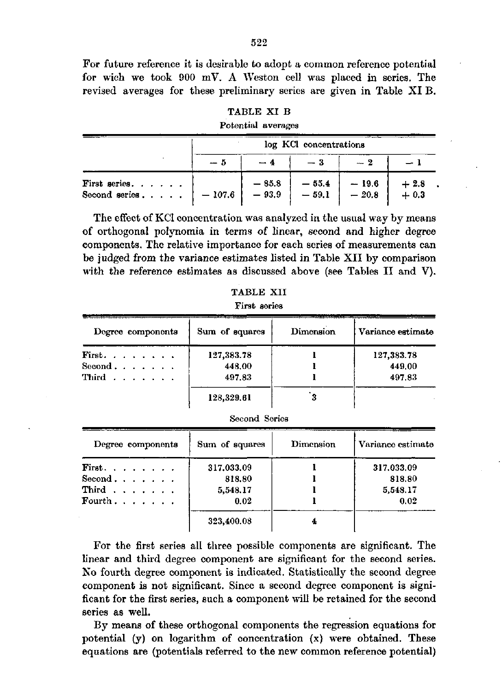For future reference it is desirable to adopt a common reference potential for wich we took 900 mV. A Weston cell was placed in series. The revised averages for these preliminary series are given in Table XI B.

| TABLE XI B         |  |
|--------------------|--|
| Potential averages |  |

|                                                                                                                                                                                | log KCl concentrations |  |  |  |                       |  |
|--------------------------------------------------------------------------------------------------------------------------------------------------------------------------------|------------------------|--|--|--|-----------------------|--|
|                                                                                                                                                                                | - 5                    |  |  |  |                       |  |
| First series. $\begin{array}{ c c c c c c c c } \hline & -85.8 & -55.4 & -19.6 \\ \hline \text{Second series.} & . & . & -107.6 & -93.9 & -59.1 & -20.8 \\ \hline \end{array}$ |                        |  |  |  | ${+\,2.8\atop+\,0.3}$ |  |

The effect of KCl concentration was analyzed in the usual way by means of orthogonal polynomia in terms of linear, second and higher degree components. The relative importance for each series of measurements can be judged from the variance estimates listed in Table XII by comparison with the reference estimates as discussed above (see Tables II and V).

| TABLE XII    |
|--------------|
| First series |

| Degree components         | Sum of squares | Dimension | Variance estimate |  |  |
|---------------------------|----------------|-----------|-------------------|--|--|
| First.                    | 127,383.78     |           | 127,383.78        |  |  |
| Second $\ldots$ $\ldots$  | 448.00         |           | 449.00            |  |  |
| Third $\ldots$ , $\ldots$ | 497.83         |           | 497.83            |  |  |
|                           | 128,329.61     |           |                   |  |  |

| Second Series |  |
|---------------|--|
|---------------|--|

| Degree components         | Sum of squares | Dimension | Variance estimate |
|---------------------------|----------------|-----------|-------------------|
| First. $\cdots$           | 317.033.09     |           | 317.033.09        |
| Second. $\ldots$ .        | 818.80         |           | 818.80            |
| Third $\ldots$ , $\ldots$ | 5,548.17       |           | 5,548.17          |
| Fourth $\ldots$ $\ldots$  | 0.02           |           | 0.02              |
|                           | 323,400.08     |           |                   |

For the first series all three possible components are significant. The linear and third degree component are significant for the second series. No fourth degree component is indicated. Statistically the second degree component is not significant. Since a second degree component is significant for the first series, such a component will be retained for the second series as well.

By means of these orthogonal components the regression equations for potential (y) on logarithm of concentration (x) were obtained. These equations are (potentials referred to the new common reference potential)